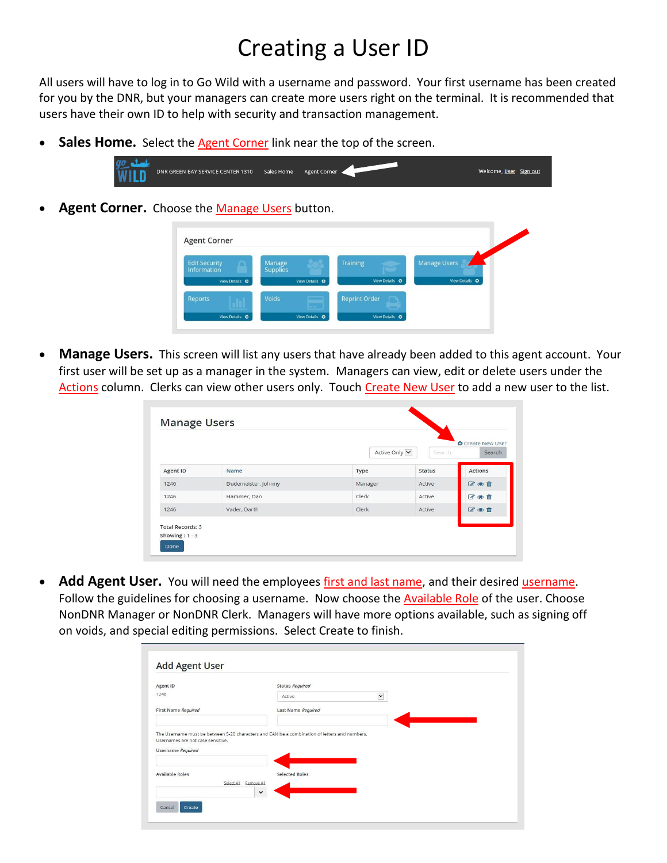## Creating a User ID

All users will have to log in to Go Wild with a username and password. Your first username has been created for you by the DNR, but your managers can create more users right on the terminal. It is recommended that users have their own ID to help with security and transaction management.

• Sales Home. Select the Agent Corner link near the top of the screen.



Agent Corner. Choose the Manage Users button.

|                                     | Manage          |                      | <b>Manage Users</b> |
|-------------------------------------|-----------------|----------------------|---------------------|
| <b>Edit Security</b><br>Information | <b>Supplies</b> | <b>Training</b>      |                     |
| View Details O                      | View Details O  | View Details O       | View Details O      |
| Reports                             | Voids           | <b>Reprint Order</b> |                     |

• **Manage Users.** This screen will list any users that have already been added to this agent account. Your first user will be set up as a manager in the system. Managers can view, edit or delete users under the Actions column. Clerks can view other users only. Touch Create New User to add a new user to the list.

|          |                     | Active Only V | Search        | <b>O</b> Create New User<br>Search |
|----------|---------------------|---------------|---------------|------------------------------------|
| Agent ID | Name                | Type          | <b>Status</b> | <b>Actions</b>                     |
| 1246     | Dudemeister, Johnny | Manager       | Active        | びの自                                |
| 1246     | Hammer, Dan         | Clerk         | Active        | 区心面                                |
| 1246     | Vader, Darth        | Clerk         | Active        | びの曲                                |

• **Add Agent User.** You will need the employees first and last name, and their desired username. Follow the guidelines for choosing a username. Now choose the **Available Role** of the user. Choose NonDNR Manager or NonDNR Clerk. Managers will have more options available, such as signing off on voids, and special editing permissions. Select Create to finish.

| Agent ID                                               | Status Required                                                                               |              |
|--------------------------------------------------------|-----------------------------------------------------------------------------------------------|--------------|
| 1246                                                   | Active                                                                                        | $\checkmark$ |
| First Name Required                                    | Last Name Required                                                                            |              |
|                                                        |                                                                                               |              |
| Usernames are not case sensitive.<br>Username Required | The Username must be between 5-20 characters and CAN be a combination of letters and numbers. |              |
| <b>Available Roles</b>                                 | <b>Selected Roles</b>                                                                         |              |